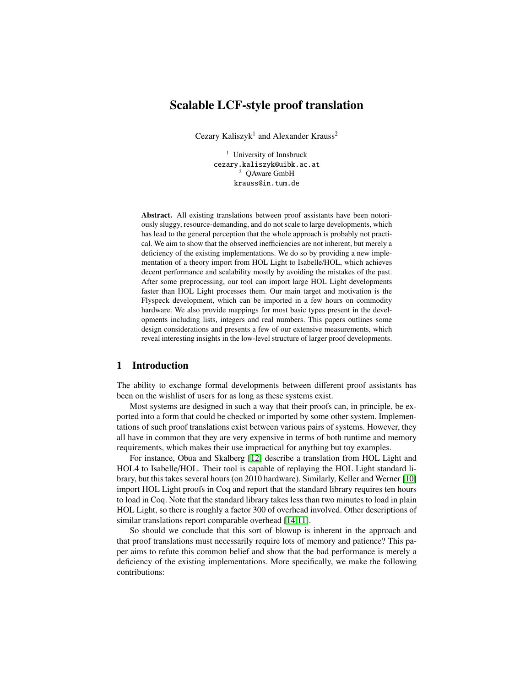# Scalable LCF-style proof translation

Cezary Kaliszyk<sup>1</sup> and Alexander Krauss<sup>2</sup>

<sup>1</sup> University of Innsbruck cezary.kaliszyk@uibk.ac.at <sup>2</sup> QAware GmbH krauss@in.tum.de

Abstract. All existing translations between proof assistants have been notoriously sluggy, resource-demanding, and do not scale to large developments, which has lead to the general perception that the whole approach is probably not practical. We aim to show that the observed inefficiencies are not inherent, but merely a deficiency of the existing implementations. We do so by providing a new implementation of a theory import from HOL Light to Isabelle/HOL, which achieves decent performance and scalability mostly by avoiding the mistakes of the past. After some preprocessing, our tool can import large HOL Light developments faster than HOL Light processes them. Our main target and motivation is the Flyspeck development, which can be imported in a few hours on commodity hardware. We also provide mappings for most basic types present in the developments including lists, integers and real numbers. This papers outlines some design considerations and presents a few of our extensive measurements, which reveal interesting insights in the low-level structure of larger proof developments.

# 1 Introduction

The ability to exchange formal developments between different proof assistants has been on the wishlist of users for as long as these systems exist.

Most systems are designed in such a way that their proofs can, in principle, be exported into a form that could be checked or imported by some other system. Implementations of such proof translations exist between various pairs of systems. However, they all have in common that they are very expensive in terms of both runtime and memory requirements, which makes their use impractical for anything but toy examples.

For instance, Obua and Skalberg [\[12\]](#page-14-0) describe a translation from HOL Light and HOL4 to Isabelle/HOL. Their tool is capable of replaying the HOL Light standard library, but this takes several hours (on 2010 hardware). Similarly, Keller and Werner [\[10\]](#page-14-1) import HOL Light proofs in Coq and report that the standard library requires ten hours to load in Coq. Note that the standard library takes less than two minutes to load in plain HOL Light, so there is roughly a factor 300 of overhead involved. Other descriptions of similar translations report comparable overhead [\[14,](#page-14-2)[11\]](#page-14-3).

So should we conclude that this sort of blowup is inherent in the approach and that proof translations must necessarily require lots of memory and patience? This paper aims to refute this common belief and show that the bad performance is merely a deficiency of the existing implementations. More specifically, we make the following contributions: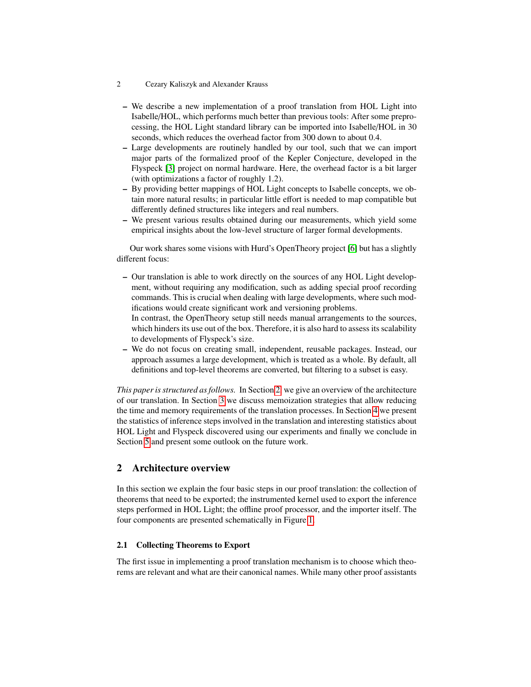- We describe a new implementation of a proof translation from HOL Light into Isabelle/HOL, which performs much better than previous tools: After some preprocessing, the HOL Light standard library can be imported into Isabelle/HOL in 30 seconds, which reduces the overhead factor from 300 down to about 0.4.
- Large developments are routinely handled by our tool, such that we can import major parts of the formalized proof of the Kepler Conjecture, developed in the Flyspeck [\[3\]](#page-14-4) project on normal hardware. Here, the overhead factor is a bit larger (with optimizations a factor of roughly 1.2).
- By providing better mappings of HOL Light concepts to Isabelle concepts, we obtain more natural results; in particular little effort is needed to map compatible but differently defined structures like integers and real numbers.
- We present various results obtained during our measurements, which yield some empirical insights about the low-level structure of larger formal developments.

Our work shares some visions with Hurd's OpenTheory project [\[6\]](#page-14-5) but has a slightly different focus:

– Our translation is able to work directly on the sources of any HOL Light development, without requiring any modification, such as adding special proof recording commands. This is crucial when dealing with large developments, where such modifications would create significant work and versioning problems.

In contrast, the OpenTheory setup still needs manual arrangements to the sources, which hinders its use out of the box. Therefore, it is also hard to assess its scalability to developments of Flyspeck's size.

– We do not focus on creating small, independent, reusable packages. Instead, our approach assumes a large development, which is treated as a whole. By default, all definitions and top-level theorems are converted, but filtering to a subset is easy.

*This paper is structured as follows.* In Section [2,](#page-1-0) we give an overview of the architecture of our translation. In Section [3](#page-7-0) we discuss memoization strategies that allow reducing the time and memory requirements of the translation processes. In Section [4](#page-9-0) we present the statistics of inference steps involved in the translation and interesting statistics about HOL Light and Flyspeck discovered using our experiments and finally we conclude in Section [5](#page-13-0) and present some outlook on the future work.

# <span id="page-1-0"></span>2 Architecture overview

In this section we explain the four basic steps in our proof translation: the collection of theorems that need to be exported; the instrumented kernel used to export the inference steps performed in HOL Light; the offline proof processor, and the importer itself. The four components are presented schematically in Figure [1.](#page-2-0)

# 2.1 Collecting Theorems to Export

The first issue in implementing a proof translation mechanism is to choose which theorems are relevant and what are their canonical names. While many other proof assistants

<sup>2</sup> Cezary Kaliszyk and Alexander Krauss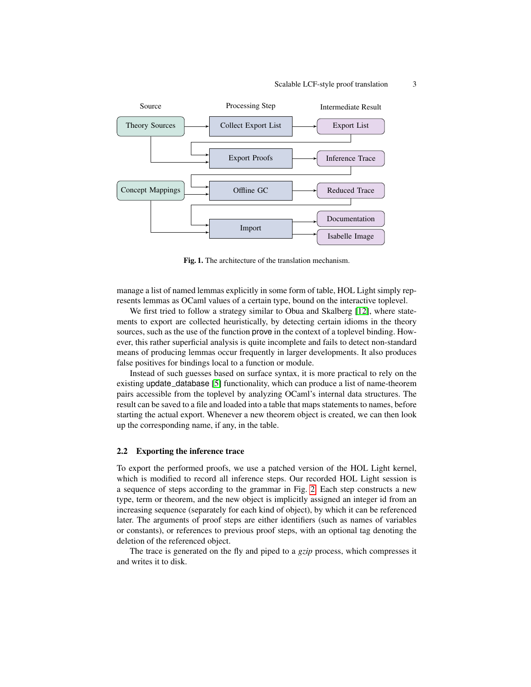

<span id="page-2-0"></span>Fig. 1. The architecture of the translation mechanism.

manage a list of named lemmas explicitly in some form of table, HOL Light simply represents lemmas as OCaml values of a certain type, bound on the interactive toplevel.

We first tried to follow a strategy similar to Obua and Skalberg [\[12\]](#page-14-0), where statements to export are collected heuristically, by detecting certain idioms in the theory sources, such as the use of the function prove in the context of a toplevel binding. However, this rather superficial analysis is quite incomplete and fails to detect non-standard means of producing lemmas occur frequently in larger developments. It also produces false positives for bindings local to a function or module.

Instead of such guesses based on surface syntax, it is more practical to rely on the existing update database [\[5\]](#page-14-6) functionality, which can produce a list of name-theorem pairs accessible from the toplevel by analyzing OCaml's internal data structures. The result can be saved to a file and loaded into a table that maps statements to names, before starting the actual export. Whenever a new theorem object is created, we can then look up the corresponding name, if any, in the table.

### 2.2 Exporting the inference trace

To export the performed proofs, we use a patched version of the HOL Light kernel, which is modified to record all inference steps. Our recorded HOL Light session is a sequence of steps according to the grammar in Fig. [2.](#page-3-0) Each step constructs a new type, term or theorem, and the new object is implicitly assigned an integer id from an increasing sequence (separately for each kind of object), by which it can be referenced later. The arguments of proof steps are either identifiers (such as names of variables or constants), or references to previous proof steps, with an optional tag denoting the deletion of the referenced object.

The trace is generated on the fly and piped to a *gzip* process, which compresses it and writes it to disk.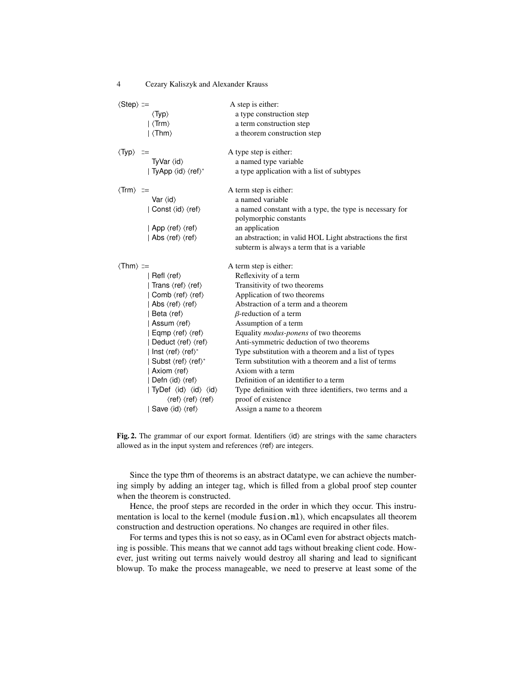| 4 |  | Cezary Kaliszyk and Alexander Krauss |  |
|---|--|--------------------------------------|--|
|---|--|--------------------------------------|--|

| $\langle$ Step $\rangle$ ::=                                                                                                                                                                                                  | A step is either:                                                                                                                                                                                                                                            |
|-------------------------------------------------------------------------------------------------------------------------------------------------------------------------------------------------------------------------------|--------------------------------------------------------------------------------------------------------------------------------------------------------------------------------------------------------------------------------------------------------------|
| $\langle$ Typ $\rangle$                                                                                                                                                                                                       | a type construction step                                                                                                                                                                                                                                     |
| $ \langle \text{Trm} \rangle$                                                                                                                                                                                                 | a term construction step                                                                                                                                                                                                                                     |
| $ \langle \text{Thm} \rangle$                                                                                                                                                                                                 | a theorem construction step                                                                                                                                                                                                                                  |
| $\langle \text{Typ} \rangle$ ::=                                                                                                                                                                                              | A type step is either:                                                                                                                                                                                                                                       |
| TyVar $\langle id \rangle$                                                                                                                                                                                                    | a named type variable                                                                                                                                                                                                                                        |
| TyApp $\langle id \rangle \langle ref \rangle^*$                                                                                                                                                                              | a type application with a list of subtypes                                                                                                                                                                                                                   |
| $\langle$ Trm $\rangle$ ::=<br>Var $\langle id \rangle$<br>$ $ Const $\langle$ id $\rangle$ $\langle$ ref $\rangle$<br>  App $\langle ref \rangle$ $\langle ref \rangle$<br>  Abs $\langle ref \rangle$ $\langle ref \rangle$ | A term step is either:<br>a named variable<br>a named constant with a type, the type is necessary for<br>polymorphic constants<br>an application<br>an abstraction; in valid HOL Light abstractions the first<br>subterm is always a term that is a variable |
| $\langle$ Thm $\rangle$ ::=                                                                                                                                                                                                   | A term step is either:                                                                                                                                                                                                                                       |
| ∣ Refl ⟨ref⟩                                                                                                                                                                                                                  | Reflexivity of a term                                                                                                                                                                                                                                        |
| Trans $\langle$ ref $\rangle$ $\langle$ ref $\rangle$                                                                                                                                                                         | Transitivity of two theorems                                                                                                                                                                                                                                 |
| Comb (ref) (ref)                                                                                                                                                                                                              | Application of two theorems                                                                                                                                                                                                                                  |
| Abs $\langle$ ref $\rangle$ $\langle$ ref $\rangle$                                                                                                                                                                           | Abstraction of a term and a theorem                                                                                                                                                                                                                          |
| Beta $\langle$ ref $\rangle$                                                                                                                                                                                                  | $\beta$ -reduction of a term                                                                                                                                                                                                                                 |
| Assum 〈ref〉                                                                                                                                                                                                                   | Assumption of a term                                                                                                                                                                                                                                         |
| Eqmp $\langle ref \rangle$ $\langle ref \rangle$                                                                                                                                                                              | Equality <i>modus-ponens</i> of two theorems                                                                                                                                                                                                                 |
| Deduct $\langle ref \rangle$ $\langle ref \rangle$                                                                                                                                                                            | Anti-symmetric deduction of two theorems                                                                                                                                                                                                                     |
| Inst $\langle ref \rangle \langle ref \rangle^*$                                                                                                                                                                              | Type substitution with a theorem and a list of types                                                                                                                                                                                                         |
| Subst $\langle$ ref $\rangle$ $\langle$ ref $\rangle^*$                                                                                                                                                                       | Term substitution with a theorem and a list of terms                                                                                                                                                                                                         |
| Axiom (ref)                                                                                                                                                                                                                   | Axiom with a term                                                                                                                                                                                                                                            |
| Defn $\langle$ id $\rangle$ $\langle$ ref $\rangle$                                                                                                                                                                           | Definition of an identifier to a term                                                                                                                                                                                                                        |
| TyDef 〈id〉〈id〉〈id〉                                                                                                                                                                                                            | Type definition with three identifiers, two terms and a                                                                                                                                                                                                      |
| $\langle ref \rangle \langle ref \rangle \langle ref \rangle$                                                                                                                                                                 | proof of existence                                                                                                                                                                                                                                           |
| Save 〈id〉 〈ref〉                                                                                                                                                                                                               | Assign a name to a theorem                                                                                                                                                                                                                                   |

<span id="page-3-0"></span>Fig. 2. The grammar of our export format. Identifiers  $\langle id \rangle$  are strings with the same characters allowed as in the input system and references  $\langle$ ref $\rangle$  are integers.

Since the type thm of theorems is an abstract datatype, we can achieve the numbering simply by adding an integer tag, which is filled from a global proof step counter when the theorem is constructed.

Hence, the proof steps are recorded in the order in which they occur. This instrumentation is local to the kernel (module fusion.ml), which encapsulates all theorem construction and destruction operations. No changes are required in other files.

For terms and types this is not so easy, as in OCaml even for abstract objects matching is possible. This means that we cannot add tags without breaking client code. However, just writing out terms naively would destroy all sharing and lead to significant blowup. To make the process manageable, we need to preserve at least some of the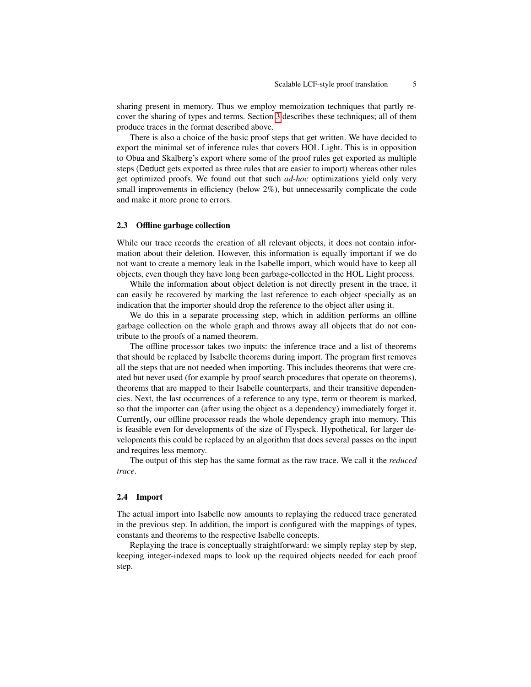sharing present in memory. Thus we employ memoization techniques that partly recover the sharing of types and terms. Section [3](#page-7-0) describes these techniques; all of them produce traces in the format described above.

There is also a choice of the basic proof steps that get written. We have decided to export the minimal set of inference rules that covers HOL Light. This is in opposition to Obua and Skalberg's export where some of the proof rules get exported as multiple steps (Deduct gets exported as three rules that are easier to import) whereas other rules get optimized proofs. We found out that such *ad-hoc* optimizations yield only very small improvements in efficiency (below 2%), but unnecessarily complicate the code and make it more prone to errors.

#### 2.3 Offline garbage collection

While our trace records the creation of all relevant objects, it does not contain information about their deletion. However, this information is equally important if we do not want to create a memory leak in the Isabelle import, which would have to keep all objects, even though they have long been garbage-collected in the HOL Light process.

While the information about object deletion is not directly present in the trace, it can easily be recovered by marking the last reference to each object specially as an indication that the importer should drop the reference to the object after using it.

We do this in a separate processing step, which in addition performs an offline garbage collection on the whole graph and throws away all objects that do not contribute to the proofs of a named theorem.

The offline processor takes two inputs: the inference trace and a list of theorems that should be replaced by Isabelle theorems during import. The program first removes all the steps that are not needed when importing. This includes theorems that were created but never used (for example by proof search procedures that operate on theorems), theorems that are mapped to their Isabelle counterparts, and their transitive dependencies. Next, the last occurrences of a reference to any type, term or theorem is marked, so that the importer can (after using the object as a dependency) immediately forget it. Currently, our offline processor reads the whole dependency graph into memory. This is feasible even for developments of the size of Flyspeck. Hypothetical, for larger developments this could be replaced by an algorithm that does several passes on the input and requires less memory.

The output of this step has the same format as the raw trace. We call it the *reduced trace*.

### 2.4 Import

The actual import into Isabelle now amounts to replaying the reduced trace generated in the previous step. In addition, the import is configured with the mappings of types, constants and theorems to the respective Isabelle concepts.

Replaying the trace is conceptually straightforward: we simply replay step by step, keeping integer-indexed maps to look up the required objects needed for each proof step.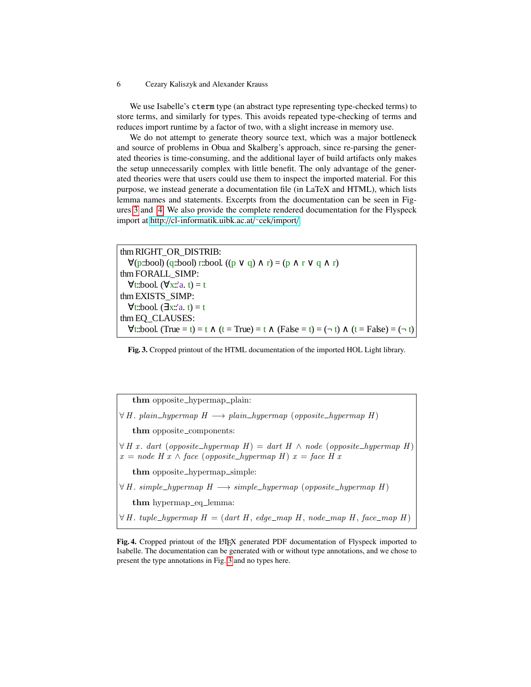We use Isabelle's cterm type (an abstract type representing type-checked terms) to store terms, and similarly for types. This avoids repeated type-checking of terms and reduces import runtime by a factor of two, with a slight increase in memory use.

We do not attempt to generate theory source text, which was a major bottleneck and source of problems in Obua and Skalberg's approach, since re-parsing the generated theories is time-consuming, and the additional layer of build artifacts only makes the setup unnecessarily complex with little benefit. The only advantage of the generated theories were that users could use them to inspect the imported material. For this purpose, we instead generate a documentation file (in LaTeX and HTML), which lists lemma names and statements. Excerpts from the documentation can be seen in Figures [3](#page-5-0) and [4.](#page-5-1) We also provide the complete rendered documentation for the Flyspeck import at http://[cl-informatik.uibk.ac.at](http://cl-informatik.uibk.ac.at/~cek/import/)/∼cek/import/.

thm RIGHT\_OR\_DISTRIB:  $\forall$ (p::bool) (q::bool) r::bool. ((p V q)  $\land$  r) = (p  $\land$  r V q  $\land$  r) thm FORALL\_SIMP:  $\forall$ t::bool. ( $\forall$ x::'a. t) = t thm EXISTS\_SIMP:  $\forall$ t::bool. (∃x::'a. t) = t thm EQ CLAUSES:  $\forall$ t::bool. (True = t) = t  $\Lambda$  (t = True) = t  $\Lambda$  (False = t) = ( $\neg$  t)  $\Lambda$  (t = False) = ( $\neg$  t)

 $\mathbb{R}$  . The series of the series of the series of the series of the series of the series of the series of the series of the series of the series of the series of the series of the series of the series of the series of

<span id="page-5-0"></span>Fig. 3. Cropped printout of the HTML documentation of the imported HOL Light library.

thm opposite\_hypermap\_plain:  $\forall H. \ plan\_\hbar$ hypermap  $H \longrightarrow \ plan\_\hbar$ hypermap (opposite\_hypermap H) thm opposite\_components:  $\forall H \ x.$  dart (opposite\_hypermap H) = dart H  $\land$  node (opposite\_hypermap H)  $x = node H x \wedge face (opposite\_hypermap H) x = face H x$ thm opposite\_hypermap\_simple:  $\forall H. simple\_hypermap H \longrightarrow simple\_hypermap (opposite\_hypermap H)$ thm hypermap\_eq\_lemma:  $\forall H. \t\t\t tuple\_hypermap H = (dart H, edge\_map H, node\_map H, face\_map H)$ 

<span id="page-5-1"></span>Fig. 4. Cropped printout of the LATEX generated PDF documentation of Flyspeck imported to Isabelle. The documentation can be generated with or without type annotations, and we chose to present the type annotations in Fig. [3](#page-5-0) and no types here.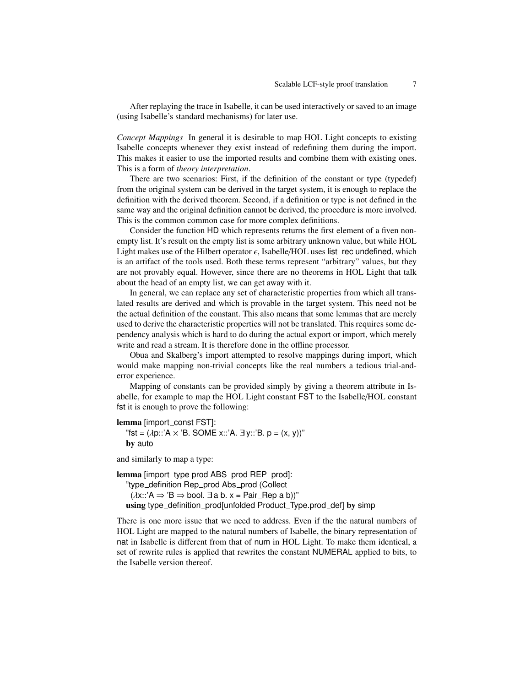After replaying the trace in Isabelle, it can be used interactively or saved to an image (using Isabelle's standard mechanisms) for later use.

*Concept Mappings* In general it is desirable to map HOL Light concepts to existing Isabelle concepts whenever they exist instead of redefining them during the import. This makes it easier to use the imported results and combine them with existing ones. This is a form of *theory interpretation*.

There are two scenarios: First, if the definition of the constant or type (typedef) from the original system can be derived in the target system, it is enough to replace the definition with the derived theorem. Second, if a definition or type is not defined in the same way and the original definition cannot be derived, the procedure is more involved. This is the common common case for more complex definitions.

Consider the function HD which represents returns the first element of a fiven nonempty list. It's result on the empty list is some arbitrary unknown value, but while HOL Light makes use of the Hilbert operator  $\epsilon$ , Isabelle/HOL uses list\_rec undefined, which is an artifact of the tools used. Both these terms represent "arbitrary" values, but they are not provably equal. However, since there are no theorems in HOL Light that talk about the head of an empty list, we can get away with it.

In general, we can replace any set of characteristic properties from which all translated results are derived and which is provable in the target system. This need not be the actual definition of the constant. This also means that some lemmas that are merely used to derive the characteristic properties will not be translated. This requires some dependency analysis which is hard to do during the actual export or import, which merely write and read a stream. It is therefore done in the offline processor.

Obua and Skalberg's import attempted to resolve mappings during import, which would make mapping non-trivial concepts like the real numbers a tedious trial-anderror experience.

Mapping of constants can be provided simply by giving a theorem attribute in Isabelle, for example to map the HOL Light constant FST to the Isabelle/HOL constant fst it is enough to prove the following:

lemma [import\_const FST]:

"fst =  $(\lambda p::'A \times 'B$ . SOME x::'A.  $\exists y::'B$ .  $p = (x, y))$ " by auto

and similarly to map a type:

lemma [import\_type prod ABS\_prod REP\_prod]:

"type\_definition Rep\_prod Abs\_prod (Collect

 $(\lambda x$ ::'A  $\Rightarrow$  'B  $\Rightarrow$  bool. ∃a b. x = Pair\_Rep a b))"

using type\_definition\_prod[unfolded Product\_Type.prod\_def] by simp

There is one more issue that we need to address. Even if the the natural numbers of HOL Light are mapped to the natural numbers of Isabelle, the binary representation of nat in Isabelle is different from that of num in HOL Light. To make them identical, a set of rewrite rules is applied that rewrites the constant NUMERAL applied to bits, to the Isabelle version thereof.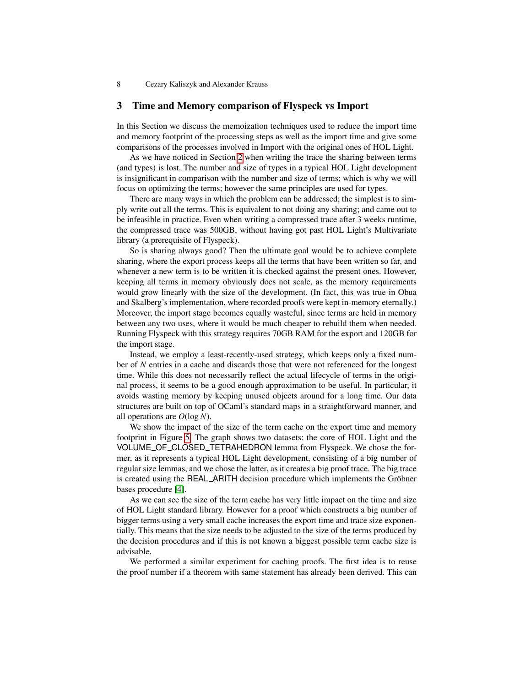### <span id="page-7-0"></span>3 Time and Memory comparison of Flyspeck vs Import

In this Section we discuss the memoization techniques used to reduce the import time and memory footprint of the processing steps as well as the import time and give some comparisons of the processes involved in Import with the original ones of HOL Light.

As we have noticed in Section [2](#page-1-0) when writing the trace the sharing between terms (and types) is lost. The number and size of types in a typical HOL Light development is insignificant in comparison with the number and size of terms; which is why we will focus on optimizing the terms; however the same principles are used for types.

There are many ways in which the problem can be addressed; the simplest is to simply write out all the terms. This is equivalent to not doing any sharing; and came out to be infeasible in practice. Even when writing a compressed trace after 3 weeks runtime, the compressed trace was 500GB, without having got past HOL Light's Multivariate library (a prerequisite of Flyspeck).

So is sharing always good? Then the ultimate goal would be to achieve complete sharing, where the export process keeps all the terms that have been written so far, and whenever a new term is to be written it is checked against the present ones. However, keeping all terms in memory obviously does not scale, as the memory requirements would grow linearly with the size of the development. (In fact, this was true in Obua and Skalberg's implementation, where recorded proofs were kept in-memory eternally.) Moreover, the import stage becomes equally wasteful, since terms are held in memory between any two uses, where it would be much cheaper to rebuild them when needed. Running Flyspeck with this strategy requires 70GB RAM for the export and 120GB for the import stage.

Instead, we employ a least-recently-used strategy, which keeps only a fixed number of *N* entries in a cache and discards those that were not referenced for the longest time. While this does not necessarily reflect the actual lifecycle of terms in the original process, it seems to be a good enough approximation to be useful. In particular, it avoids wasting memory by keeping unused objects around for a long time. Our data structures are built on top of OCaml's standard maps in a straightforward manner, and all operations are *O*(log *N*).

We show the impact of the size of the term cache on the export time and memory footprint in Figure [5.](#page-8-0) The graph shows two datasets: the core of HOL Light and the VOLUME\_OF\_CLOSED\_TETRAHEDRON lemma from Flyspeck. We chose the former, as it represents a typical HOL Light development, consisting of a big number of regular size lemmas, and we chose the latter, as it creates a big proof trace. The big trace is created using the REAL\_ARITH decision procedure which implements the Gröbner bases procedure [\[4\]](#page-14-7).

As we can see the size of the term cache has very little impact on the time and size of HOL Light standard library. However for a proof which constructs a big number of bigger terms using a very small cache increases the export time and trace size exponentially. This means that the size needs to be adjusted to the size of the terms produced by the decision procedures and if this is not known a biggest possible term cache size is advisable.

We performed a similar experiment for caching proofs. The first idea is to reuse the proof number if a theorem with same statement has already been derived. This can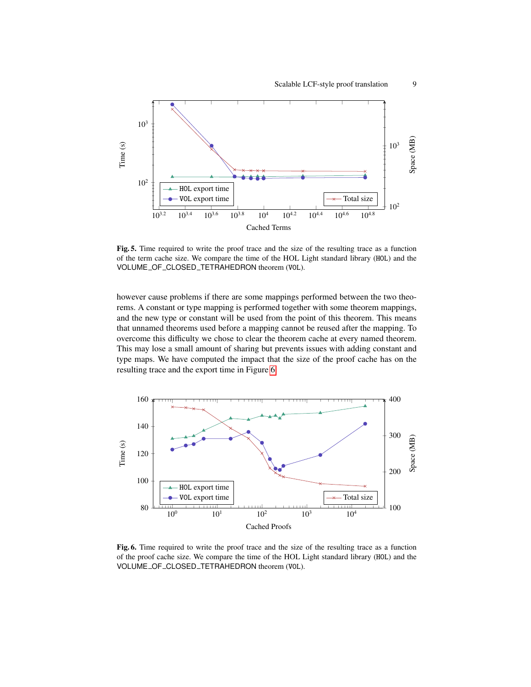

<span id="page-8-0"></span>Fig. 5. Time required to write the proof trace and the size of the resulting trace as a function of the term cache size. We compare the time of the HOL Light standard library (HOL) and the VOLUME\_OF\_CLOSED\_TETRAHEDRON theorem (VOL).

however cause problems if there are some mappings performed between the two theorems. A constant or type mapping is performed together with some theorem mappings, and the new type or constant will be used from the point of this theorem. This means that unnamed theorems used before a mapping cannot be reused after the mapping. To overcome this difficulty we chose to clear the theorem cache at every named theorem. This may lose a small amount of sharing but prevents issues with adding constant and type maps. We have computed the impact that the size of the proof cache has on the resulting trace and the export time in Figure [6.](#page-8-1)



<span id="page-8-1"></span>Fig. 6. Time required to write the proof trace and the size of the resulting trace as a function of the proof cache size. We compare the time of the HOL Light standard library (HOL) and the VOLUME\_OF\_CLOSED\_TETRAHEDRON theorem (VOL).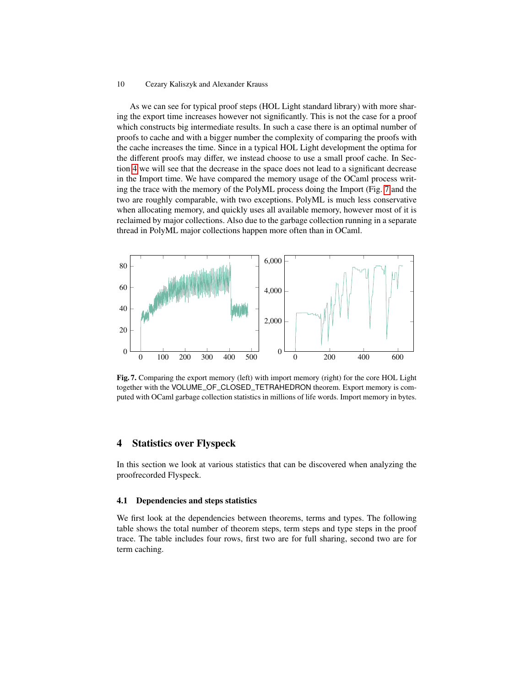As we can see for typical proof steps (HOL Light standard library) with more sharing the export time increases however not significantly. This is not the case for a proof which constructs big intermediate results. In such a case there is an optimal number of proofs to cache and with a bigger number the complexity of comparing the proofs with the cache increases the time. Since in a typical HOL Light development the optima for the different proofs may differ, we instead choose to use a small proof cache. In Section [4](#page-9-0) we will see that the decrease in the space does not lead to a significant decrease in the Import time. We have compared the memory usage of the OCaml process writing the trace with the memory of the PolyML process doing the Import (Fig. [7](#page-9-1) and the two are roughly comparable, with two exceptions. PolyML is much less conservative when allocating memory, and quickly uses all available memory, however most of it is reclaimed by major collections. Also due to the garbage collection running in a separate thread in PolyML major collections happen more often than in OCaml.



<span id="page-9-1"></span>Fig. 7. Comparing the export memory (left) with import memory (right) for the core HOL Light together with the VOLUME\_OF\_CLOSED\_TETRAHEDRON theorem. Export memory is computed with OCaml garbage collection statistics in millions of life words. Import memory in bytes.

# <span id="page-9-0"></span>4 Statistics over Flyspeck

In this section we look at various statistics that can be discovered when analyzing the proofrecorded Flyspeck.

#### <span id="page-9-2"></span>4.1 Dependencies and steps statistics

We first look at the dependencies between theorems, terms and types. The following table shows the total number of theorem steps, term steps and type steps in the proof trace. The table includes four rows, first two are for full sharing, second two are for term caching.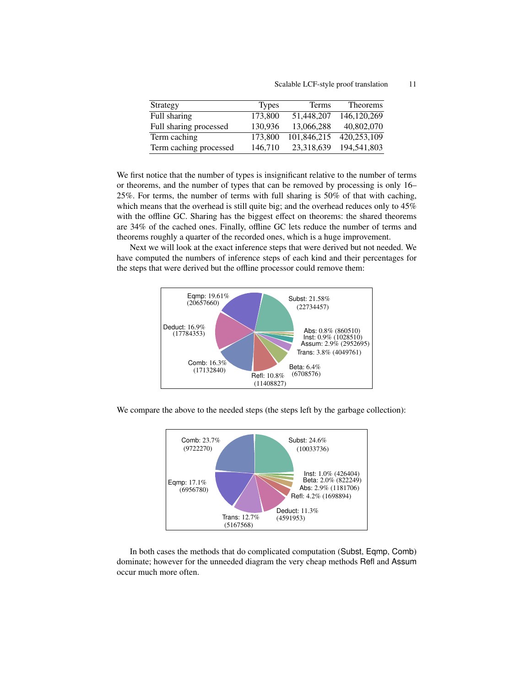| Strategy               | <b>Types</b> | <b>Terms</b> | Theorems      |
|------------------------|--------------|--------------|---------------|
| Full sharing           | 173,800      | 51.448.207   | 146, 120, 269 |
| Full sharing processed | 130.936      | 13,066,288   | 40,802,070    |
| Term caching           | 173,800      | 101,846,215  | 420.253.109   |
| Term caching processed | 146,710      | 23,318,639   | 194.541.803   |

We first notice that the number of types is insignificant relative to the number of terms or theorems, and the number of types that can be removed by processing is only 16– 25%. For terms, the number of terms with full sharing is 50% of that with caching, which means that the overhead is still quite big; and the overhead reduces only to 45% with the offline GC. Sharing has the biggest effect on theorems: the shared theorems are 34% of the cached ones. Finally, offline GC lets reduce the number of terms and theorems roughly a quarter of the recorded ones, which is a huge improvement.

Next we will look at the exact inference steps that were derived but not needed. We have computed the numbers of inference steps of each kind and their percentages for the steps that were derived but the offline processor could remove them:



We compare the above to the needed steps (the steps left by the garbage collection):



In both cases the methods that do complicated computation (Subst, Eqmp, Comb) dominate; however for the unneeded diagram the very cheap methods Refl and Assum occur much more often.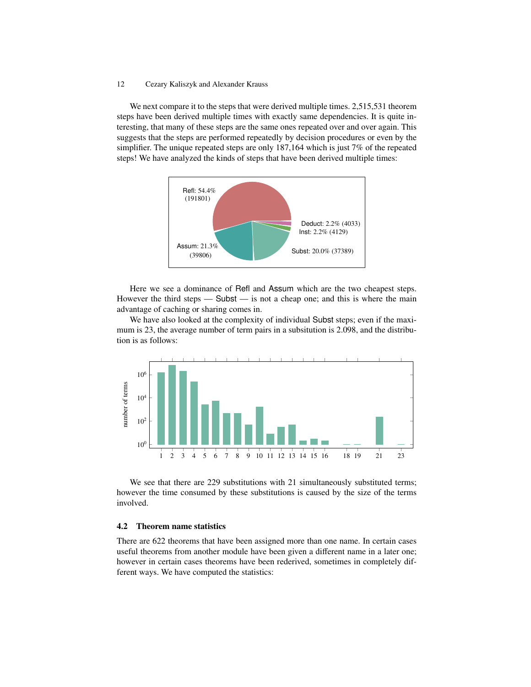We next compare it to the steps that were derived multiple times. 2,515,531 theorem steps have been derived multiple times with exactly same dependencies. It is quite interesting, that many of these steps are the same ones repeated over and over again. This suggests that the steps are performed repeatedly by decision procedures or even by the simplifier. The unique repeated steps are only 187,164 which is just 7% of the repeated steps! We have analyzed the kinds of steps that have been derived multiple times:



Here we see a dominance of Refl and Assum which are the two cheapest steps. However the third steps  $-$  Subst  $-$  is not a cheap one; and this is where the main advantage of caching or sharing comes in.

We have also looked at the complexity of individual Subst steps; even if the maximum is 23, the average number of term pairs in a subsitution is 2.098, and the distribution is as follows:



We see that there are 229 substitutions with 21 simultaneously substituted terms; however the time consumed by these substitutions is caused by the size of the terms involved.

#### 4.2 Theorem name statistics

There are 622 theorems that have been assigned more than one name. In certain cases useful theorems from another module have been given a different name in a later one; however in certain cases theorems have been rederived, sometimes in completely different ways. We have computed the statistics: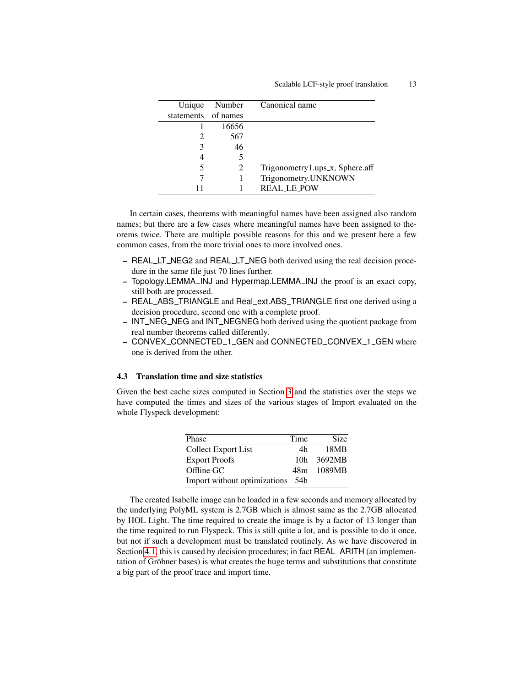|                     |                             | Unique Number Canonical name     |
|---------------------|-----------------------------|----------------------------------|
| statements of names |                             |                                  |
|                     | 16656                       |                                  |
|                     | 567                         |                                  |
| 3                   | 46                          |                                  |
| 4                   |                             |                                  |
| 5                   | $\mathcal{D}_{\mathcal{L}}$ | Trigonometry 1.ups_x, Sphere.aff |
|                     |                             | Trigonometry.UNKNOWN             |
|                     |                             | <b>REAL LE POW</b>               |

In certain cases, theorems with meaningful names have been assigned also random names; but there are a few cases where meaningful names have been assigned to theorems twice. There are multiple possible reasons for this and we present here a few common cases, from the more trivial ones to more involved ones.

- REAL LT NEG2 and REAL LT NEG both derived using the real decision procedure in the same file just 70 lines further.
- Topology.LEMMA\_INJ and Hypermap.LEMMA\_INJ the proof is an exact copy, still both are processed.
- REAL ABS TRIANGLE and Real ext.ABS TRIANGLE first one derived using a decision procedure, second one with a complete proof.
- INT\_NEG\_NEG and INT\_NEGNEG both derived using the quotient package from real number theorems called differently.
- CONVEX\_CONNECTED\_1\_GEN and CONNECTED\_CONVEX\_1\_GEN where one is derived from the other.

## 4.3 Translation time and size statistics

Given the best cache sizes computed in Section [3](#page-7-0) and the statistics over the steps we have computed the times and sizes of the various stages of Import evaluated on the whole Flyspeck development:

| Phase                            | Time | <b>Size</b> |
|----------------------------------|------|-------------|
| Collect Export List              | 4h   | 18MB        |
| <b>Export Proofs</b>             |      | 10h 3692MB  |
| Offline GC                       |      | 48m 1089MB  |
| Import without optimizations 54h |      |             |

The created Isabelle image can be loaded in a few seconds and memory allocated by the underlying PolyML system is 2.7GB which is almost same as the 2.7GB allocated by HOL Light. The time required to create the image is by a factor of 13 longer than the time required to run Flyspeck. This is still quite a lot, and is possible to do it once, but not if such a development must be translated routinely. As we have discovered in Section [4.1,](#page-9-2) this is caused by decision procedures; in fact REAL ARITH (an implementation of Gröbner bases) is what creates the huge terms and substitutions that constitute a big part of the proof trace and import time.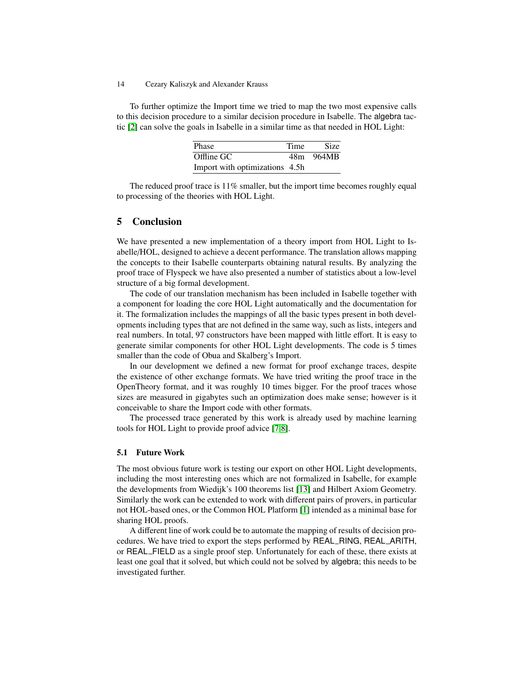To further optimize the Import time we tried to map the two most expensive calls to this decision procedure to a similar decision procedure in Isabelle. The algebra tactic [\[2\]](#page-14-8) can solve the goals in Isabelle in a similar time as that needed in HOL Light:

| Phase                          | Time | Size      |
|--------------------------------|------|-----------|
| Offline GC                     |      | 48m 964MB |
| Import with optimizations 4.5h |      |           |

The reduced proof trace is 11% smaller, but the import time becomes roughly equal to processing of the theories with HOL Light.

# <span id="page-13-0"></span>5 Conclusion

We have presented a new implementation of a theory import from HOL Light to Isabelle/HOL, designed to achieve a decent performance. The translation allows mapping the concepts to their Isabelle counterparts obtaining natural results. By analyzing the proof trace of Flyspeck we have also presented a number of statistics about a low-level structure of a big formal development.

The code of our translation mechanism has been included in Isabelle together with a component for loading the core HOL Light automatically and the documentation for it. The formalization includes the mappings of all the basic types present in both developments including types that are not defined in the same way, such as lists, integers and real numbers. In total, 97 constructors have been mapped with little effort. It is easy to generate similar components for other HOL Light developments. The code is 5 times smaller than the code of Obua and Skalberg's Import.

In our development we defined a new format for proof exchange traces, despite the existence of other exchange formats. We have tried writing the proof trace in the OpenTheory format, and it was roughly 10 times bigger. For the proof traces whose sizes are measured in gigabytes such an optimization does make sense; however is it conceivable to share the Import code with other formats.

The processed trace generated by this work is already used by machine learning tools for HOL Light to provide proof advice [\[7,](#page-14-9)[8\]](#page-14-10).

### 5.1 Future Work

The most obvious future work is testing our export on other HOL Light developments, including the most interesting ones which are not formalized in Isabelle, for example the developments from Wiedijk's 100 theorems list [\[13\]](#page-14-11) and Hilbert Axiom Geometry. Similarly the work can be extended to work with different pairs of provers, in particular not HOL-based ones, or the Common HOL Platform [\[1\]](#page-14-12) intended as a minimal base for sharing HOL proofs.

A different line of work could be to automate the mapping of results of decision procedures. We have tried to export the steps performed by REAL RING, REAL ARITH, or REAL FIELD as a single proof step. Unfortunately for each of these, there exists at least one goal that it solved, but which could not be solved by algebra; this needs to be investigated further.